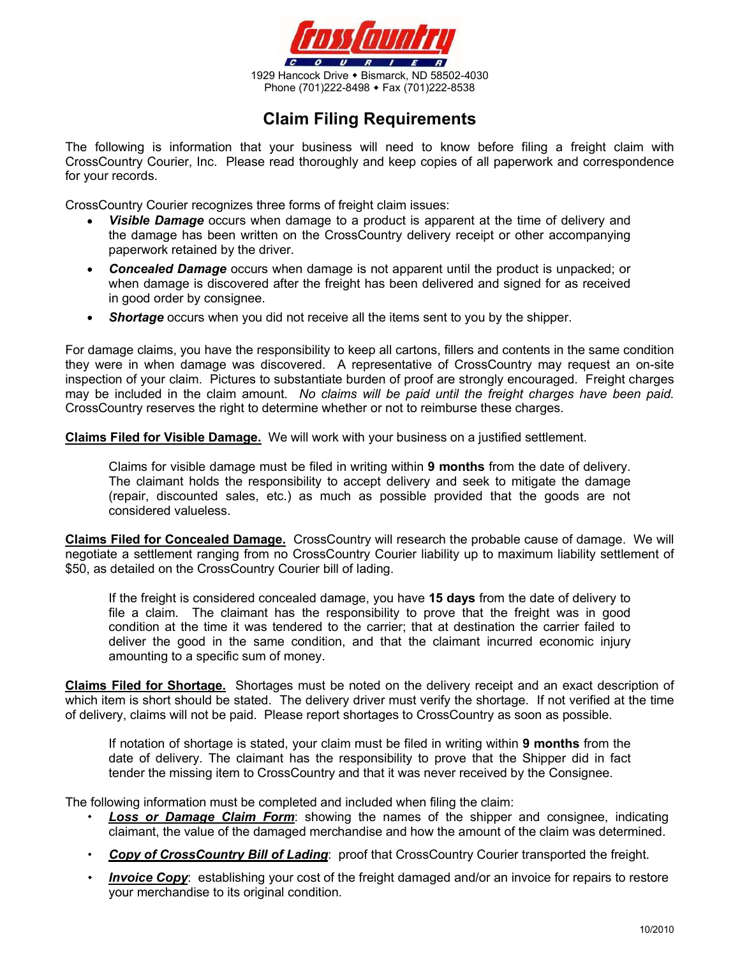

## Claim Filing Requirements

The following is information that your business will need to know before filing a freight claim with CrossCountry Courier, Inc. Please read thoroughly and keep copies of all paperwork and correspondence for your records.

CrossCountry Courier recognizes three forms of freight claim issues:

- Visible Damage occurs when damage to a product is apparent at the time of delivery and the damage has been written on the CrossCountry delivery receipt or other accompanying paperwork retained by the driver.
- **Concealed Damage** occurs when damage is not apparent until the product is unpacked; or  $\bullet$ when damage is discovered after the freight has been delivered and signed for as received in good order by consignee.
- **Shortage** occurs when you did not receive all the items sent to you by the shipper.

For damage claims, you have the responsibility to keep all cartons, fillers and contents in the same condition they were in when damage was discovered. A representative of CrossCountry may request an on-site inspection of your claim. Pictures to substantiate burden of proof are strongly encouraged. Freight charges may be included in the claim amount. No claims will be paid until the freight charges have been paid. CrossCountry reserves the right to determine whether or not to reimburse these charges.

Claims Filed for Visible Damage. We will work with your business on a justified settlement.

Claims for visible damage must be filed in writing within 9 months from the date of delivery. The claimant holds the responsibility to accept delivery and seek to mitigate the damage (repair, discounted sales, etc.) as much as possible provided that the goods are not considered valueless.

Claims Filed for Concealed Damage. CrossCountry will research the probable cause of damage. We will negotiate a settlement ranging from no CrossCountry Courier liability up to maximum liability settlement of \$50, as detailed on the CrossCountry Courier bill of lading.

If the freight is considered concealed damage, you have 15 days from the date of delivery to file a claim. The claimant has the responsibility to prove that the freight was in good condition at the time it was tendered to the carrier; that at destination the carrier failed to deliver the good in the same condition, and that the claimant incurred economic injury amounting to a specific sum of money.

Claims Filed for Shortage. Shortages must be noted on the delivery receipt and an exact description of which item is short should be stated. The delivery driver must verify the shortage. If not verified at the time of delivery, claims will not be paid. Please report shortages to CrossCountry as soon as possible.

If notation of shortage is stated, your claim must be filed in writing within 9 months from the date of delivery. The claimant has the responsibility to prove that the Shipper did in fact tender the missing item to CrossCountry and that it was never received by the Consignee.

The following information must be completed and included when filing the claim:

- **Loss or Damage Claim Form:** showing the names of the shipper and consignee, indicating claimant, the value of the damaged merchandise and how the amount of the claim was determined.
- Copy of CrossCountry Bill of Lading: proof that CrossCountry Courier transported the freight.
- **Invoice Copy**: establishing your cost of the freight damaged and/or an invoice for repairs to restore your merchandise to its original condition.